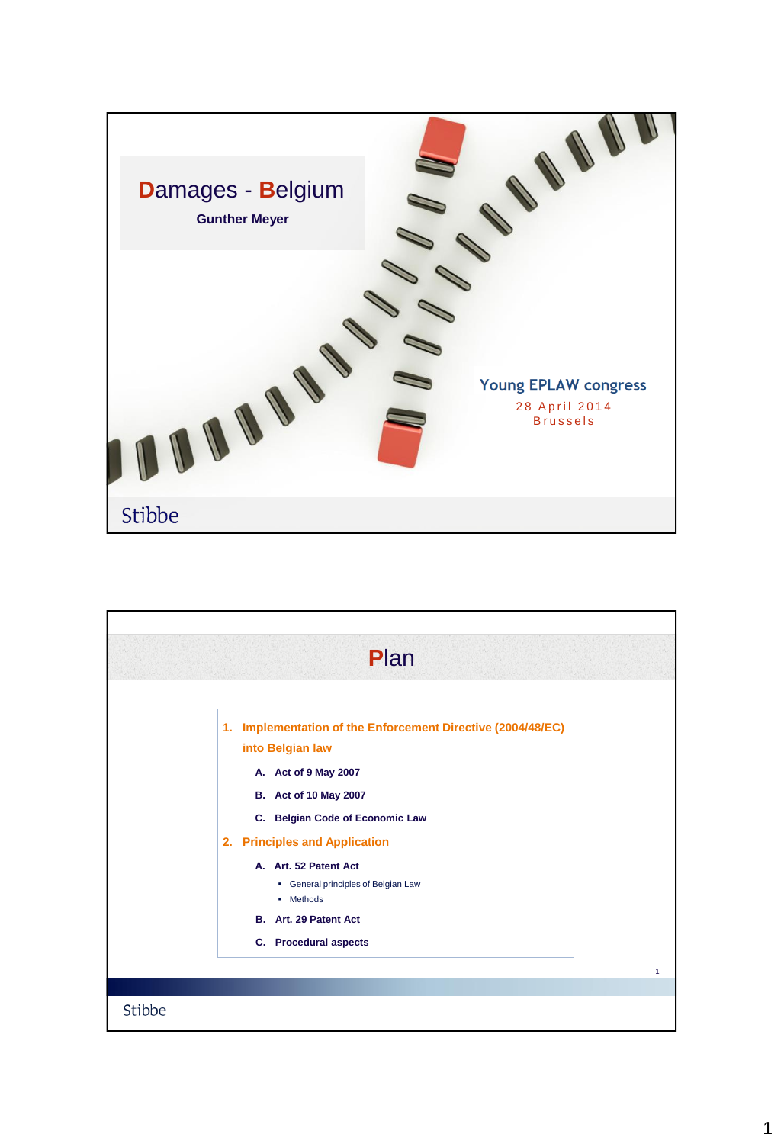

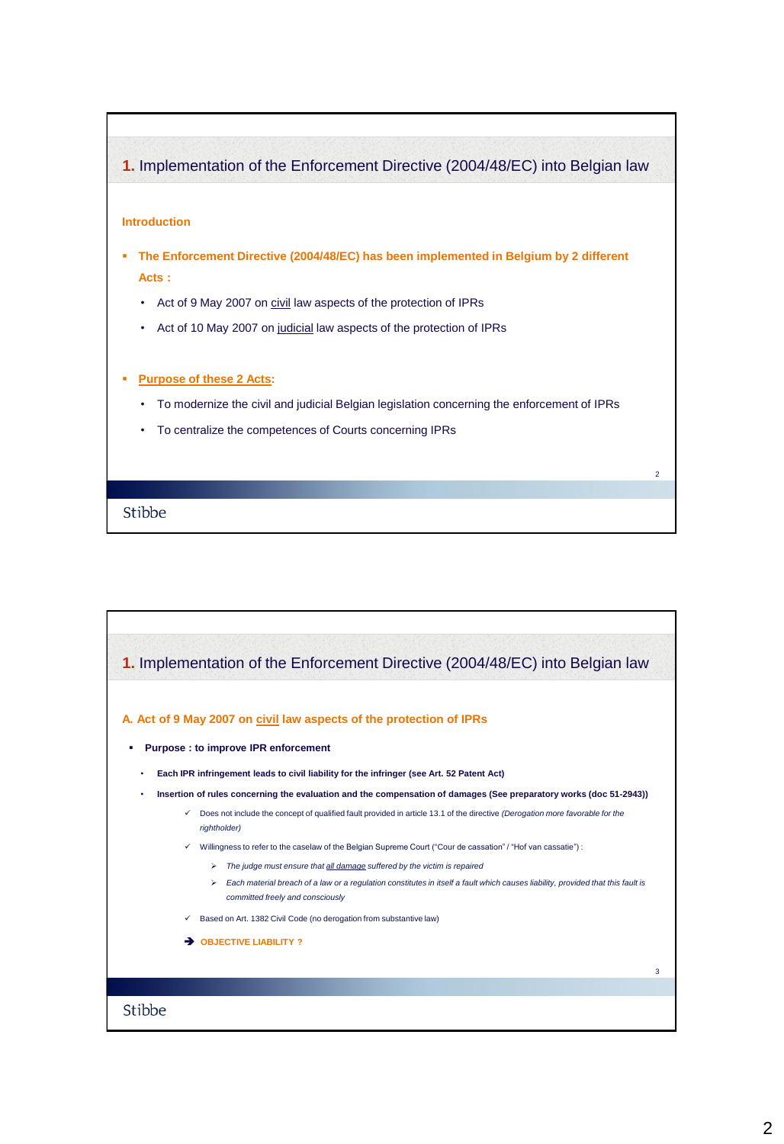## **1.** Implementation of the Enforcement Directive (2004/48/EC) into Belgian law

## **Introduction**

- **The Enforcement Directive (2004/48/EC) has been implemented in Belgium by 2 different Acts :** 
	- Act of 9 May 2007 on civil law aspects of the protection of IPRs
	- Act of 10 May 2007 on judicial law aspects of the protection of IPRs

## **Purpose of these 2 Acts:**

- To modernize the civil and judicial Belgian legislation concerning the enforcement of IPRs
- To centralize the competences of Courts concerning IPRs

Stibbe



2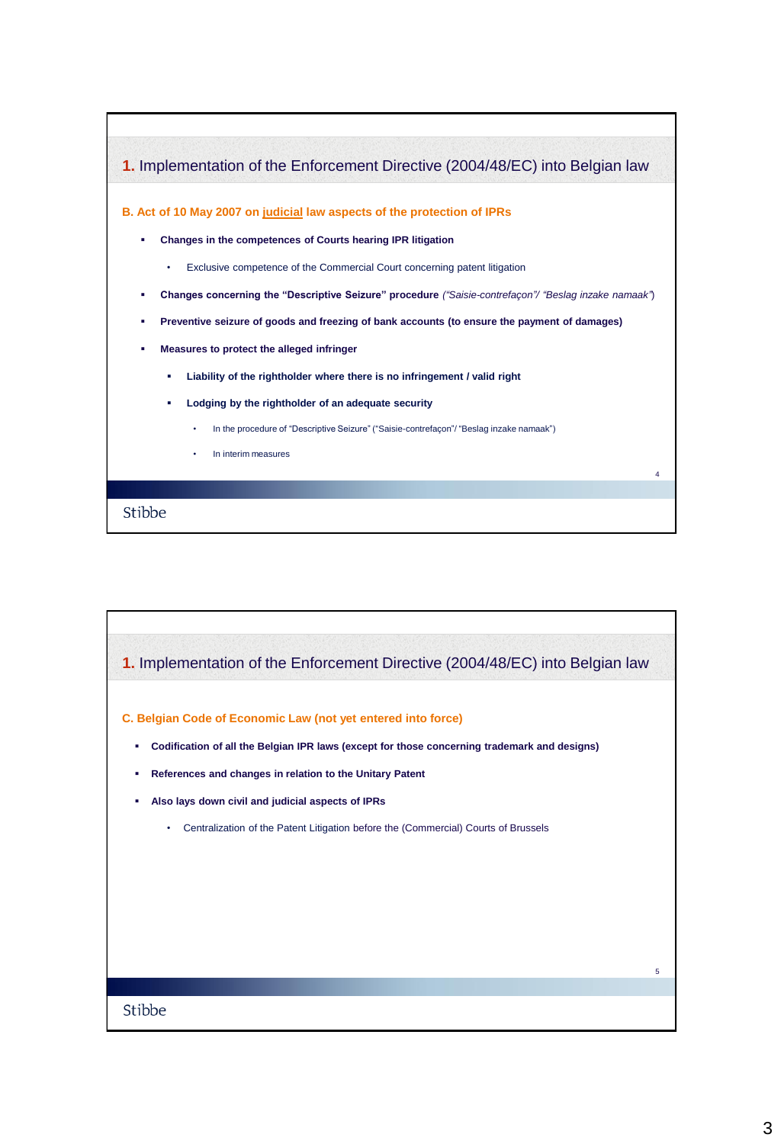

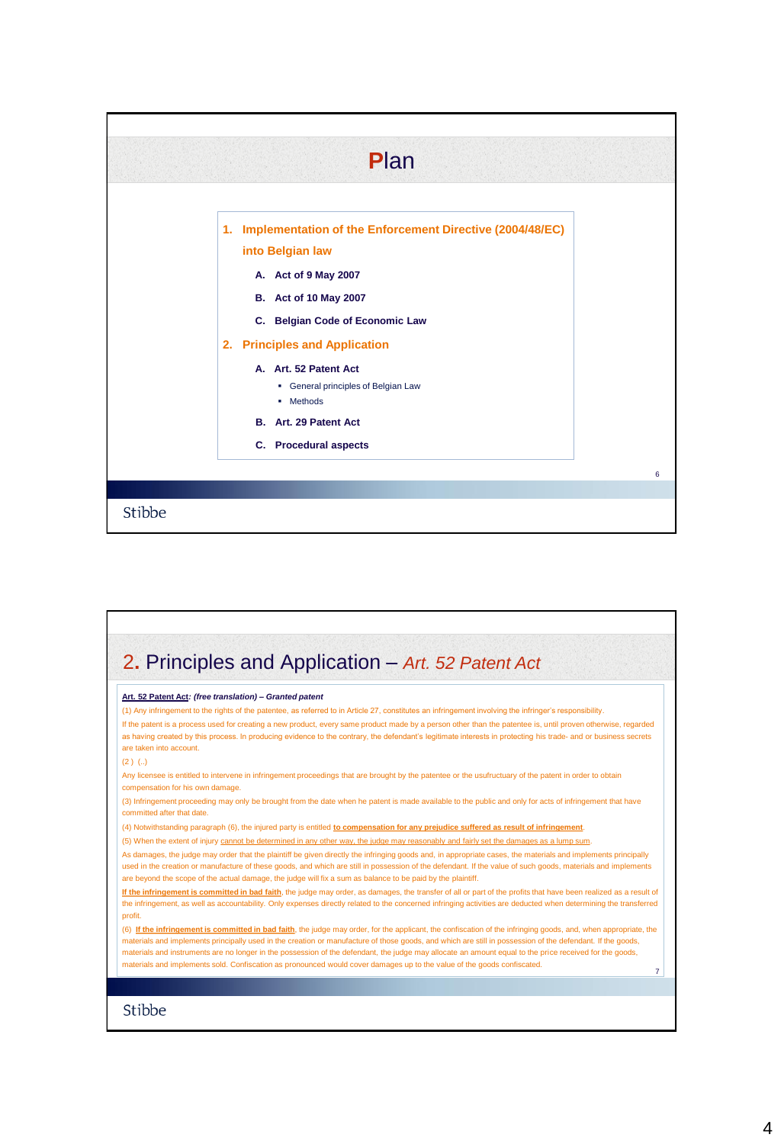|        | Plan                                                                                                                                                                                                                                                                                                                                |  |
|--------|-------------------------------------------------------------------------------------------------------------------------------------------------------------------------------------------------------------------------------------------------------------------------------------------------------------------------------------|--|
|        | 1. Implementation of the Enforcement Directive (2004/48/EC)<br>into Belgian law<br>A. Act of 9 May 2007<br>B. Act of 10 May 2007<br>C. Belgian Code of Economic Law<br>2. Principles and Application<br>A. Art. 52 Patent Act<br>• General principles of Belgian Law<br>• Methods<br>B. Art. 29 Patent Act<br>C. Procedural aspects |  |
|        |                                                                                                                                                                                                                                                                                                                                     |  |
|        |                                                                                                                                                                                                                                                                                                                                     |  |
| Stibbe |                                                                                                                                                                                                                                                                                                                                     |  |

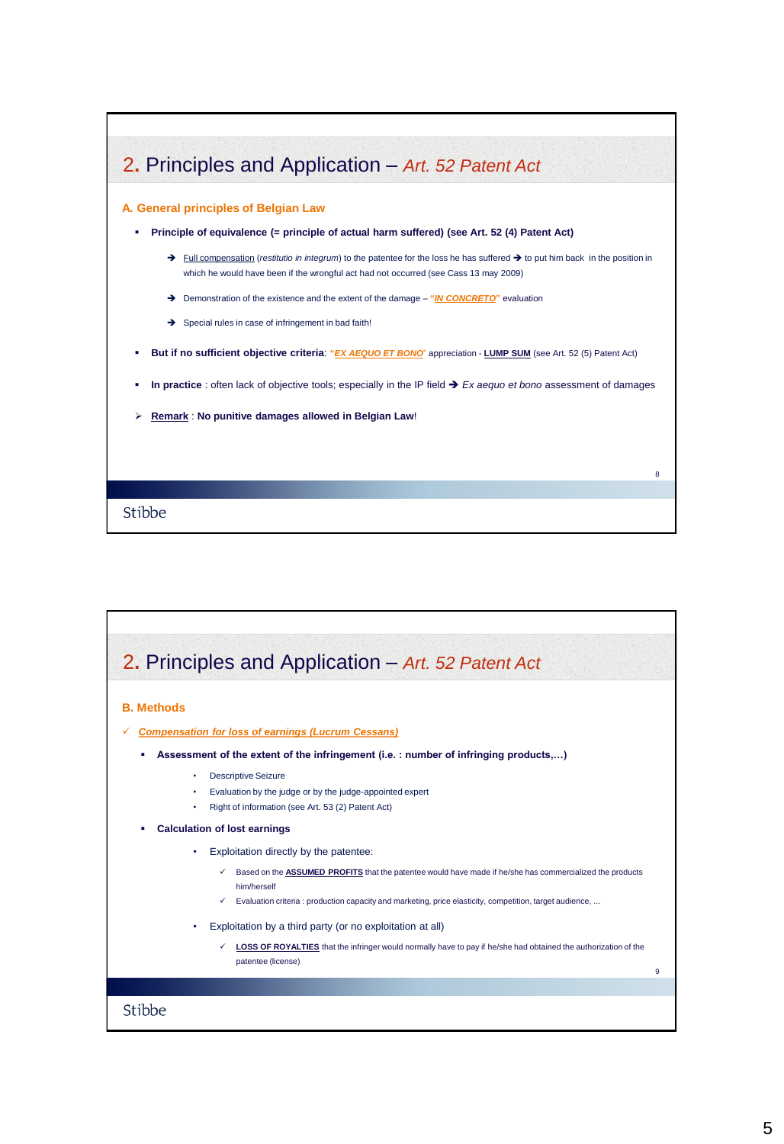

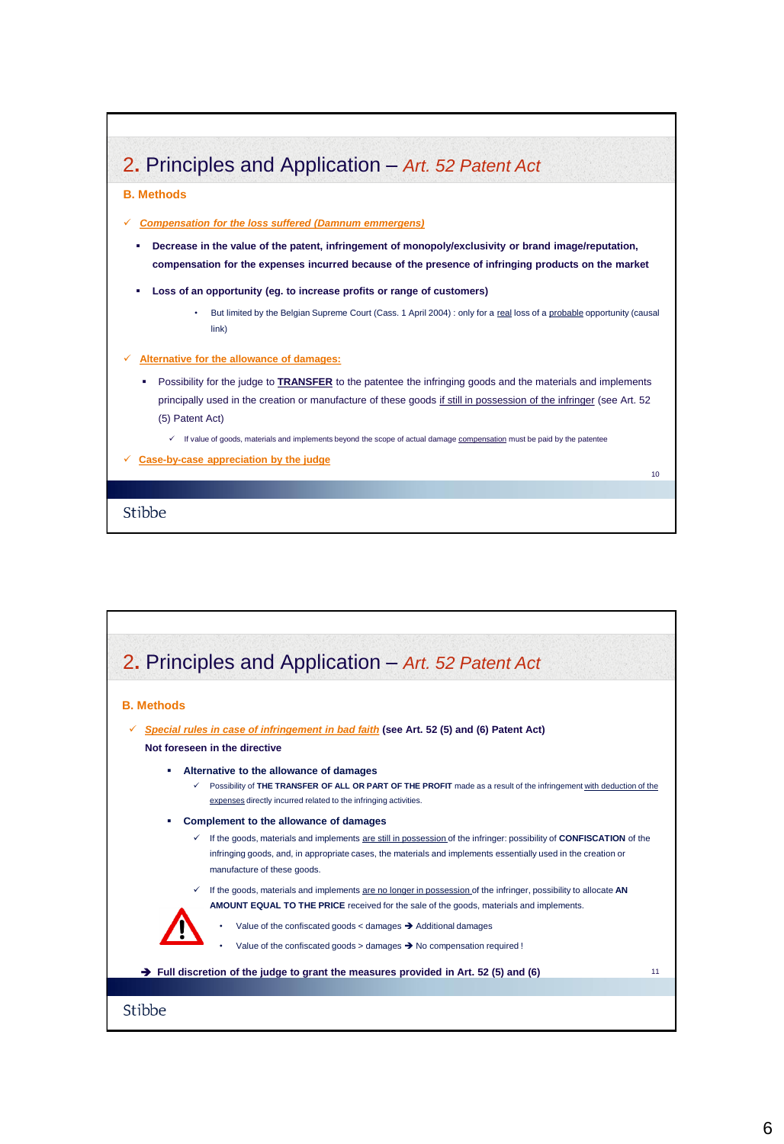

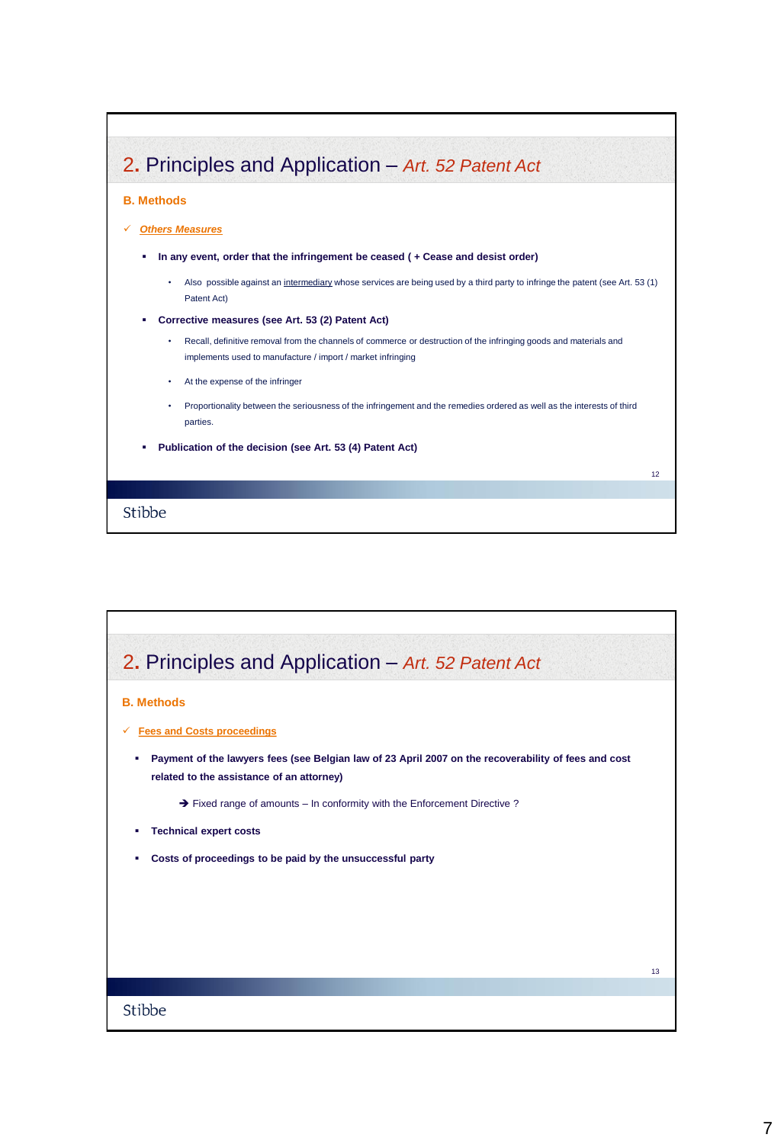

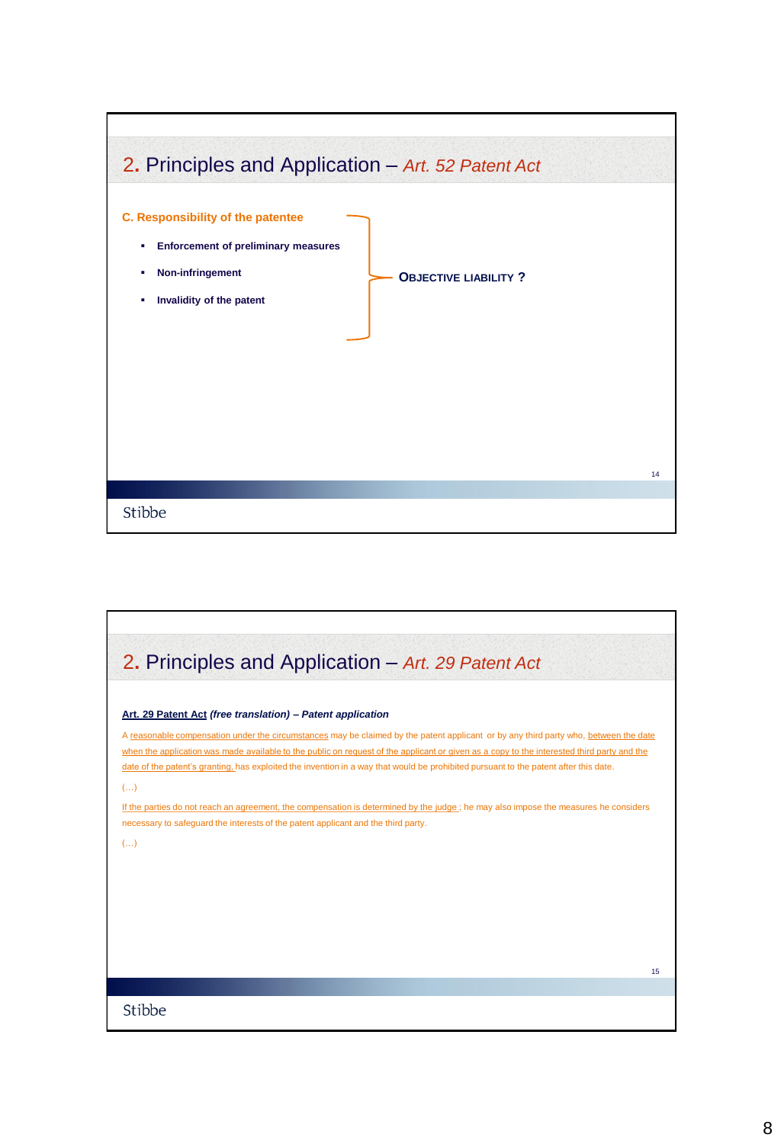

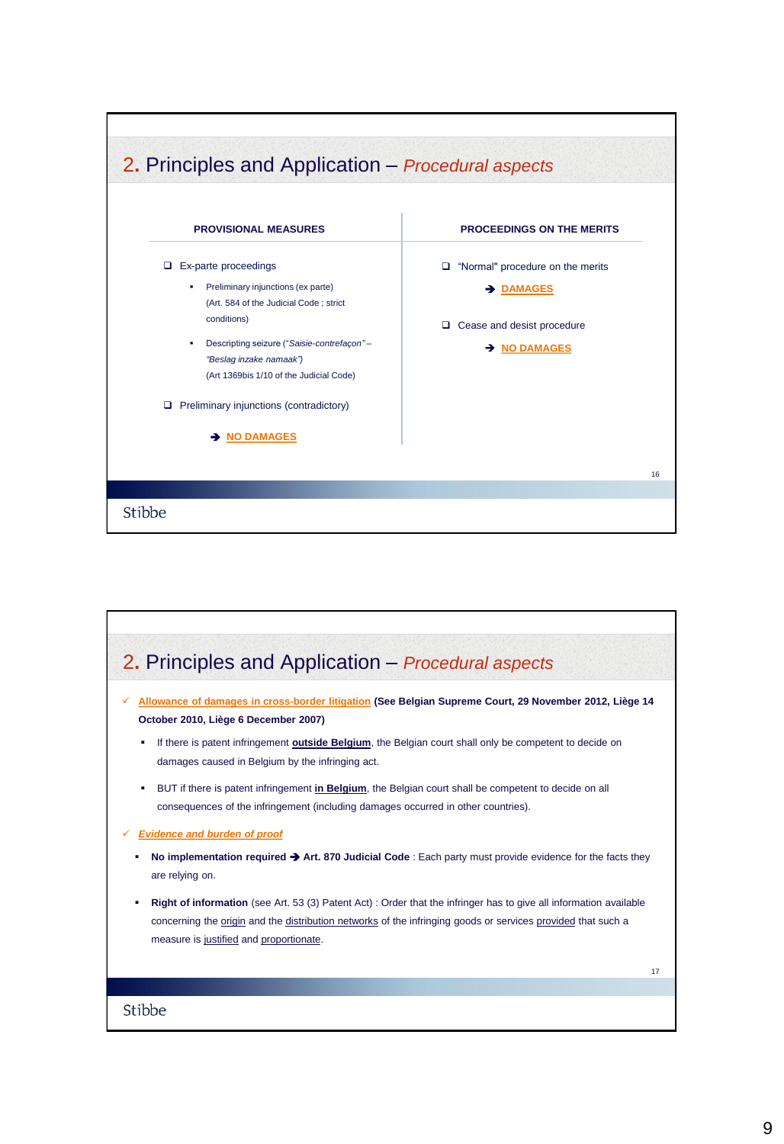